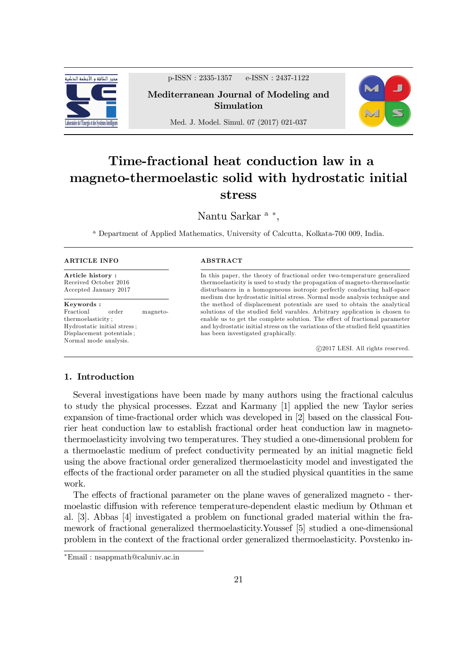

p-ISSN : 2335-1357 e-ISSN : 2437-1122

Mediterranean Journal of Modeling and Simulation



Med. J. Model. Simul. 07 (2017) 021-037

# Time-fractional heat conduction law in a magneto-thermoelastic solid with hydrostatic initial stress

Nantu Sarkar <sup>a</sup>\*,

<sup>a</sup> Department of Applied Mathematics, University of Calcutta, Kolkata-700 009, India.

#### ARTICLE INFO

Article history : Received October 2016 Accepted January 2017

#### Keywords :

Fractionl order magnetothermoelasticity ; Hydrostatic initial stress ; Displacement potentials ; Normal mode analysis.

#### ABSTRACT

In this paper, the theory of fractional order two-temperature generalized thermoelasticity is used to study the propagation of magneto-thermoelastic disturbances in a homogeneous isotropic perfectly conducting half-space medium due hydrostatic initial stress. Normal mode analysis technique and the method of displacement potentials are used to obtain the analytical solutions of the studied field varables. Arbitrary application is chosen to enable us to get the complete solution. The effect of fractional parameter and hydrostatic initial stress on the variations of the studied field quantities has been investigated graphically.

c 2017 LESI. All rights reserved.

# 1. Introduction

Several investigations have been made by many authors using the fractional calculus to study the physical processes. Ezzat and Karmany [1] applied the new Taylor series expansion of time-fractional order which was developed in [2] based on the classical Fourier heat conduction law to establish fractional order heat conduction law in magnetothermoelasticity involving two temperatures. They studied a one-dimensional problem for a thermoelastic medium of prefect conductivity permeated by an initial magnetic Öeld using the above fractional order generalized thermoelasticity model and investigated the effects of the fractional order parameter on all the studied physical quantities in the same work.

The effects of fractional parameter on the plane waves of generalized magneto - thermoelastic diffusion with reference temperature-dependent elastic medium by Othman et al. [3]. Abbas [4] investigated a problem on functional graded material within the framework of fractional generalized thermoelasticity.Youssef [5] studied a one-dimensional problem in the context of the fractional order generalized thermoelasticity. Povstenko in-

Email : nsappmath@caluniv.ac.in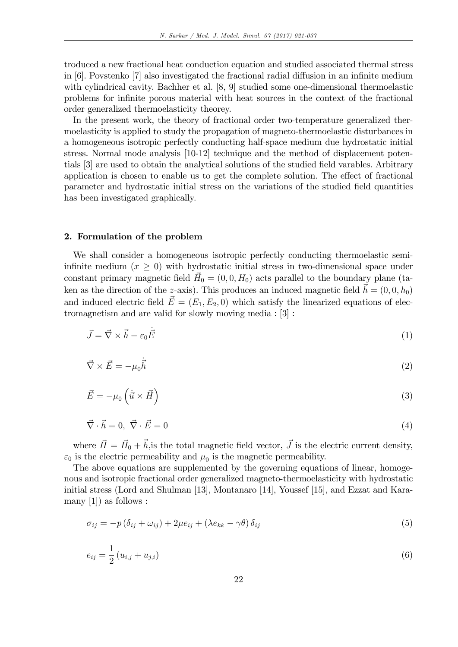troduced a new fractional heat conduction equation and studied associated thermal stress in  $[6]$ . Povstenko  $[7]$  also investigated the fractional radial diffusion in an infinite medium with cylindrical cavity. Bachher et al. [8, 9] studied some one-dimensional thermoelastic problems for inÖnite porous material with heat sources in the context of the fractional order generalized thermoelasticity theorey.

In the present work, the theory of fractional order two-temperature generalized thermoelasticity is applied to study the propagation of magneto-thermoelastic disturbances in a homogeneous isotropic perfectly conducting half-space medium due hydrostatic initial stress. Normal mode analysis [10-12] technique and the method of displacement potentials [3] are used to obtain the analytical solutions of the studied field varables. Arbitrary application is chosen to enable us to get the complete solution. The effect of fractional parameter and hydrostatic initial stress on the variations of the studied Öeld quantities has been investigated graphically.

#### 2. Formulation of the problem

We shall consider a homogeneous isotropic perfectly conducting thermoelastic semiinfinite medium  $(x > 0)$  with hydrostatic initial stress in two-dimensional space under constant primary magnetic field  $\vec{H}_0 = (0, 0, H_0)$  acts parallel to the boundary plane (taken as the direction of the z-axis). This produces an induced magnetic field  $\vec{h} = (0, 0, h_0)$ and induced electric field  $\vec{E} = (E_1, E_2, 0)$  which satisfy the linearized equations of electromagnetism and are valid for slowly moving media : [3] :

$$
\vec{J} = \vec{\nabla} \times \vec{h} - \varepsilon_0 \dot{\vec{E}} \tag{1}
$$

$$
\vec{\nabla} \times \vec{E} = -\mu_0 \dot{\vec{h}} \tag{2}
$$

$$
\vec{E} = -\mu_0 \left( \dot{\vec{u}} \times \vec{H} \right) \tag{3}
$$

$$
\vec{\nabla} \cdot \vec{h} = 0, \ \vec{\nabla} \cdot \vec{E} = 0 \tag{4}
$$

where  $\vec{H} = \vec{H}_0 + \vec{h}$ , is the total magnetic field vector,  $\vec{J}$  is the electric current density,  $\varepsilon_0$  is the electric permeability and  $\mu_0$  is the magnetic permeability.

The above equations are supplemented by the governing equations of linear, homogenous and isotropic fractional order generalized magneto-thermoelasticity with hydrostatic initial stress (Lord and Shulman [13], Montanaro [14], Youssef [15], and Ezzat and Karamany  $[1]$  as follows :

$$
\sigma_{ij} = -p(\delta_{ij} + \omega_{ij}) + 2\mu e_{ij} + (\lambda e_{kk} - \gamma \theta) \delta_{ij}
$$
\n
$$
\tag{5}
$$

$$
e_{ij} = \frac{1}{2} \left( u_{i,j} + u_{j,i} \right) \tag{6}
$$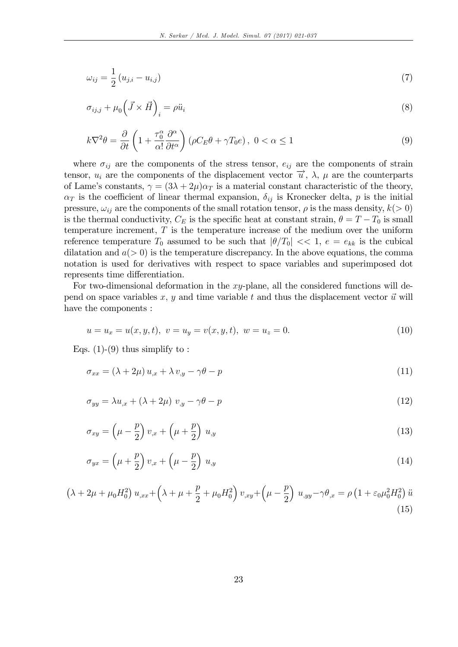$$
\omega_{ij} = \frac{1}{2} \left( u_{j,i} - u_{i,j} \right) \tag{7}
$$

$$
\sigma_{ij,j} + \mu_0 \left( \vec{J} \times \vec{H} \right)_i = \rho \ddot{u}_i \tag{8}
$$

$$
k\nabla^2 \theta = \frac{\partial}{\partial t} \left( 1 + \frac{\tau_0^{\alpha}}{\alpha!} \frac{\partial^{\alpha}}{\partial t^{\alpha}} \right) \left( \rho C_E \theta + \gamma T_0 e \right), \ 0 < \alpha \le 1 \tag{9}
$$

where  $\sigma_{ij}$  are the components of the stress tensor,  $e_{ij}$  are the components of strain tensor,  $u_i$  are the components of the displacement vector  $\vec{u}$ ,  $\lambda$ ,  $\mu$  are the counterparts of Lame's constants,  $\gamma = (3\lambda + 2\mu)\alpha_T$  is a material constant characteristic of the theory,  $\alpha_T$  is the coefficient of linear thermal expansion,  $\delta_{ij}$  is Kronecker delta, p is the initial pressure,  $\omega_{ij}$  are the components of the small rotation tensor,  $\rho$  is the mass density,  $k(> 0)$ is the thermal conductivity,  $C_E$  is the specific heat at constant strain,  $\theta = T - T_0$  is small temperature increment,  $T$  is the temperature increase of the medium over the uniform reference temperature  $T_0$  assumed to be such that  $|\theta/T_0| \ll 1, e = e_{kk}$  is the cubical dilatation and  $a(> 0)$  is the temperature discrepancy. In the above equations, the comma notation is used for derivatives with respect to space variables and superimposed dot represents time differentiation.

For two-dimensional deformation in the xy-plane, all the considered functions will depend on space variables  $x, y$  and time variable  $t$  and thus the displacement vector  $\vec{u}$  will have the components :

$$
u = u_x = u(x, y, t), \ v = u_y = v(x, y, t), \ w = u_z = 0.
$$
\n<sup>(10)</sup>

Eqs.  $(1)-(9)$  thus simplify to:

$$
\sigma_{xx} = (\lambda + 2\mu) u_{,x} + \lambda v_{,y} - \gamma \theta - p \tag{11}
$$

$$
\sigma_{yy} = \lambda u_{,x} + (\lambda + 2\mu) v_{,y} - \gamma \theta - p \tag{12}
$$

$$
\sigma_{xy} = \left(\mu - \frac{p}{2}\right)v_{,x} + \left(\mu + \frac{p}{2}\right)u_{,y} \tag{13}
$$

$$
\sigma_{yx} = \left(\mu + \frac{p}{2}\right)v_{,x} + \left(\mu - \frac{p}{2}\right)u_{,y} \tag{14}
$$

$$
\left(\lambda + 2\mu + \mu_0 H_0^2\right) u_{,xx} + \left(\lambda + \mu + \frac{p}{2} + \mu_0 H_0^2\right) v_{,xy} + \left(\mu - \frac{p}{2}\right) u_{,yy} - \gamma \theta_{,x} = \rho \left(1 + \varepsilon_0 \mu_0^2 H_0^2\right) \ddot{u}
$$
\n(15)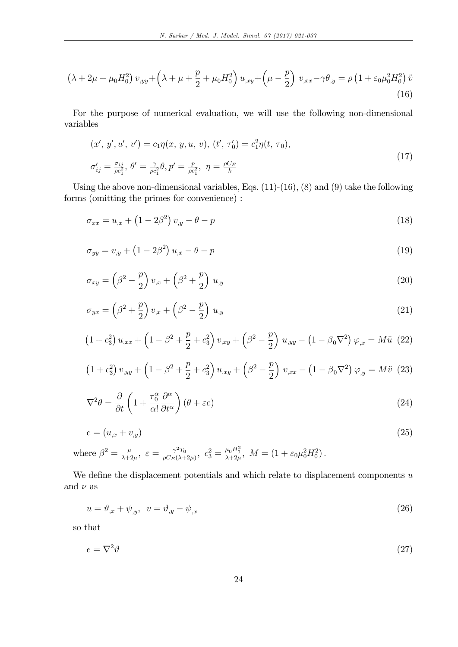$$
\left(\lambda + 2\mu + \mu_0 H_0^2\right) v_{,yy} + \left(\lambda + \mu + \frac{p}{2} + \mu_0 H_0^2\right) u_{,xy} + \left(\mu - \frac{p}{2}\right) v_{,xx} - \gamma \theta_{,y} = \rho \left(1 + \varepsilon_0 \mu_0^2 H_0^2\right) \ddot{v}
$$
\n(16)

For the purpose of numerical evaluation, we will use the following non-dimensional variables

$$
(x', y', u', v') = c_1 \eta(x, y, u, v), (t', \tau'_0) = c_1^2 \eta(t, \tau_0),
$$
  

$$
\sigma'_{ij} = \frac{\sigma_{ij}}{\rho c_1^2}, \ \theta' = \frac{\gamma}{\rho c_1^2} \theta, p' = \frac{p}{\rho c_1^2}, \ \eta = \frac{\rho C_E}{k}
$$
 (17)

Using the above non-dimensional variables, Eqs.  $(11)-(16)$ ,  $(8)$  and  $(9)$  take the following forms (omitting the primes for convenience) :

$$
\sigma_{xx} = u_{,x} + (1 - 2\beta^2) v_{,y} - \theta - p \tag{18}
$$

$$
\sigma_{yy} = v_{,y} + (1 - 2\beta^2) u_{,x} - \theta - p \tag{19}
$$

$$
\sigma_{xy} = \left(\beta^2 - \frac{p}{2}\right)v_{,x} + \left(\beta^2 + \frac{p}{2}\right)u_{,y} \tag{20}
$$

$$
\sigma_{yx} = \left(\beta^2 + \frac{p}{2}\right)v_{,x} + \left(\beta^2 - \frac{p}{2}\right)u_{,y} \tag{21}
$$

$$
(1 + c_3^2) u_{,xx} + (1 - \beta^2 + \frac{p}{2} + c_3^2) v_{,xy} + (\beta^2 - \frac{p}{2}) u_{,yy} - (1 - \beta_0 \nabla^2) \varphi_{,x} = M \ddot{u} \tag{22}
$$

$$
(1 + c_3^2) v_{,yy} + (1 - \beta^2 + \frac{p}{2} + c_3^2) u_{,xy} + (\beta^2 - \frac{p}{2}) v_{,xx} - (1 - \beta_0 \nabla^2) \varphi_{,y} = M \ddot{v} \tag{23}
$$

$$
\nabla^2 \theta = \frac{\partial}{\partial t} \left( 1 + \frac{\tau_0^{\alpha}}{\alpha!} \frac{\partial^{\alpha}}{\partial t^{\alpha}} \right) (\theta + \varepsilon e)
$$
\n(24)

$$
e = (u_{,x} + v_{,y}) \tag{25}
$$

where 
$$
\beta^2 = \frac{\mu}{\lambda + 2\mu}
$$
,  $\varepsilon = \frac{\gamma^2 T_0}{\rho C_E(\lambda + 2\mu)}$ ,  $c_3^2 = \frac{\mu_0 H_0^2}{\lambda + 2\mu}$ ,  $M = (1 + \varepsilon_0 \mu_0^2 H_0^2)$ .

We define the displacement potentials and which relate to displacement components  $u$ and  $\nu$  as

$$
u = \vartheta_{,x} + \psi_{,y}, \quad v = \vartheta_{,y} - \psi_{,x} \tag{26}
$$

so that

$$
e = \nabla^2 \vartheta \tag{27}
$$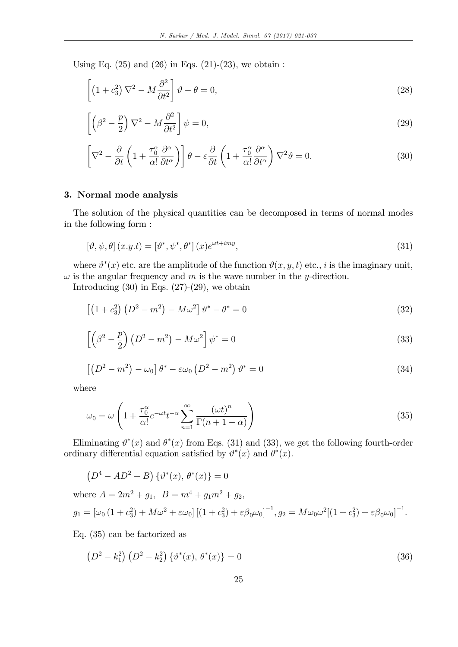Using Eq.  $(25)$  and  $(26)$  in Eqs.  $(21)-(23)$ , we obtain :

$$
\left[ \left( 1 + c_3^2 \right) \nabla^2 - M \frac{\partial^2}{\partial t^2} \right] \vartheta - \theta = 0, \tag{28}
$$

$$
\left[ \left( \beta^2 - \frac{p}{2} \right) \nabla^2 - M \frac{\partial^2}{\partial t^2} \right] \psi = 0, \tag{29}
$$

$$
\left[\nabla^2 - \frac{\partial}{\partial t} \left(1 + \frac{\tau_0^{\alpha}}{\alpha!} \frac{\partial^{\alpha}}{\partial t^{\alpha}}\right)\right] \theta - \varepsilon \frac{\partial}{\partial t} \left(1 + \frac{\tau_0^{\alpha}}{\alpha!} \frac{\partial^{\alpha}}{\partial t^{\alpha}}\right) \nabla^2 \theta = 0. \tag{30}
$$

# 3. Normal mode analysis

The solution of the physical quantities can be decomposed in terms of normal modes in the following form :

$$
\left[\vartheta, \psi, \theta\right](x, y, t) = \left[\vartheta^*, \psi^*, \theta^*\right](x)e^{\omega t + imy},\tag{31}
$$

where  $\vartheta^*(x)$  etc. are the amplitude of the function  $\vartheta(x, y, t)$  etc., i is the imaginary unit,  $\omega$  is the angular frequency and m is the wave number in the y-direction.

Introducing  $(30)$  in Eqs.  $(27)-(29)$ , we obtain

$$
\left[ \left( 1 + c_3^2 \right) \left( D^2 - m^2 \right) - M \omega^2 \right] \vartheta^* - \theta^* = 0 \tag{32}
$$

$$
\left[\left(\beta^2 - \frac{p}{2}\right)\left(D^2 - m^2\right) - M\omega^2\right]\psi^* = 0\tag{33}
$$

$$
\left[ \left( D^2 - m^2 \right) - \omega_0 \right] \theta^* - \varepsilon \omega_0 \left( D^2 - m^2 \right) \vartheta^* = 0 \tag{34}
$$

where

$$
\omega_0 = \omega \left( 1 + \frac{\tau_0^{\alpha}}{\alpha!} e^{-\omega t} t^{-\alpha} \sum_{n=1}^{\infty} \frac{(\omega t)^n}{\Gamma(n+1-\alpha)} \right)
$$
(35)

Eliminating  $\vartheta^*(x)$  and  $\theta^*(x)$  from Eqs. (31) and (33), we get the following fourth-order ordinary differential equation satisfied by  $\vartheta^*(x)$  and  $\theta^*(x)$ .

 $(D^4 - AD^2 + B) \{\vartheta^*(x), \theta^*(x)\} = 0$ 

where 
$$
A = 2m^2 + g_1
$$
,  $B = m^4 + g_1 m^2 + g_2$ ,  
\n $g_1 = [\omega_0 (1 + c_3^2) + M\omega^2 + \epsilon \omega_0] [(1 + c_3^2) + \epsilon \beta_0 \omega_0]^{-1}, g_2 = M\omega_0 \omega^2 [(1 + c_3^2) + \epsilon \beta_0 \omega_0]^{-1}$ .

Eq. (35) can be factorized as

$$
(D2 - k12) (D2 - k22) \{v*(x), \theta*(x)\} = 0
$$
\n(36)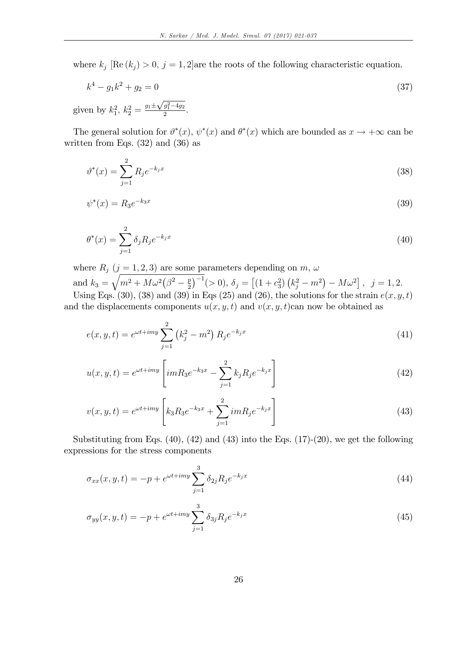where  $k_j$  [Re  $(k_j) > 0$ ,  $j = 1, 2$ ] are the roots of the following characteristic equation.

$$
k^4 - g_1 k^2 + g_2 = 0 \tag{37}
$$

given by  $k_1^2$ ,  $k_2^2 = \frac{g_1 \pm \sqrt{g_1^2 - 4g_2}}{2}$  $\frac{y_1 - 4y_2}{2}$ .

The general solution for  $\theta^*(x)$ ,  $\psi^*(x)$  and  $\theta^*(x)$  which are bounded as  $x \to +\infty$  can be written from Eqs. (32) and (36) as

$$
\vartheta^*(x) = \sum_{j=1}^2 R_j e^{-k_j x} \tag{38}
$$

$$
\psi^*(x) = R_3 e^{-k_3 x} \tag{39}
$$

$$
\theta^*(x) = \sum_{j=1}^2 \delta_j R_j e^{-k_j x} \tag{40}
$$

where  $R_j$   $(j = 1, 2, 3)$  are some parameters depending on  $m, \omega$ 

and  $k_3 =$  $\sqrt{m^2 + M \omega^2 (\beta^2 - \frac{p}{2})}$  $\left[\frac{p}{2}\right]^{-1}$ (> 0),  $\delta_j = \left[ (1 + c_3^2) \left(k_j^2 - m^2\right) - M\omega^2 \right]$ ,  $j = 1, 2$ . Using Eqs. (30), (38) and (39) in Eqs. (25) and (26), the solutions for the strain  $e(x, y, t)$ and the displacements components  $u(x, y, t)$  and  $v(x, y, t)$ can now be obtained as

$$
e(x, y, t) = e^{\omega t + imy} \sum_{j=1}^{2} (k_j^2 - m^2) R_j e^{-k_j x}
$$
 (41)

$$
u(x, y, t) = e^{\omega t + imy} \left[ imR_3 e^{-k_3 x} - \sum_{j=1}^{2} k_j R_j e^{-k_j x} \right]
$$
\n(42)

$$
v(x, y, t) = e^{\omega t + imy} \left[ k_3 R_3 e^{-k_3 x} + \sum_{j=1}^2 i m R_j e^{-k_j x} \right]
$$
\n(43)

Substituting from Eqs.  $(40)$ ,  $(42)$  and  $(43)$  into the Eqs.  $(17)-(20)$ , we get the following expressions for the stress components

$$
\sigma_{xx}(x, y, t) = -p + e^{\omega t + imy} \sum_{j=1}^{3} \delta_{2j} R_j e^{-k_j x}
$$
\n(44)

$$
\sigma_{yy}(x, y, t) = -p + e^{\omega t + imy} \sum_{j=1}^{3} \delta_{3j} R_j e^{-k_j x}
$$
\n(45)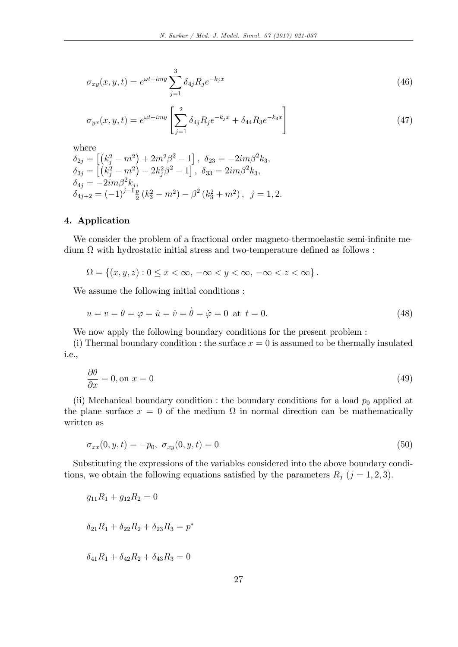$$
\sigma_{xy}(x, y, t) = e^{\omega t + imy} \sum_{j=1}^{3} \delta_{4j} R_j e^{-k_j x}
$$
\n(46)

$$
\sigma_{yx}(x, y, t) = e^{\omega t + imy} \left[ \sum_{j=1}^{2} \delta_{4j} R_j e^{-k_j x} + \delta_{44} R_3 e^{-k_3 x} \right]
$$
\n(47)

where

$$
\begin{aligned}\n\delta_{2j} &= \left[ \left( k_j^2 - m^2 \right) + 2m^2 \beta^2 - 1 \right], \ \delta_{23} = -2im\beta^2 k_3, \\
\delta_{3j} &= \left[ \left( k_j^2 - m^2 \right) - 2k_j^2 \beta^2 - 1 \right], \ \delta_{33} = 2im\beta^2 k_3, \\
\delta_{4j} &= -2im\beta^2 k_j, \\
\delta_{4j+2} &= \left( -1 \right)^{j-1} \frac{p}{2} \left( k_3^2 - m^2 \right) - \beta^2 \left( k_3^2 + m^2 \right), \ j = 1, 2.\n\end{aligned}
$$

## 4. Application

We consider the problem of a fractional order magneto-thermoelastic semi-infinite me- $\dim \Omega$  with hydrostatic initial stress and two-temperature defined as follows:

$$
\Omega = \left\{ (x, y, z) : 0 \le x < \infty, \ -\infty < y < \infty, \ -\infty < z < \infty \right\}.
$$

We assume the following initial conditions :

$$
u = v = \theta = \varphi = \dot{u} = \dot{v} = \dot{\theta} = \dot{\varphi} = 0 \text{ at } t = 0.
$$
 (48)

We now apply the following boundary conditions for the present problem :

(i) Thermal boundary condition : the surface  $x = 0$  is assumed to be thermally insulated i.e.,

$$
\frac{\partial \theta}{\partial x} = 0, \text{ on } x = 0 \tag{49}
$$

(ii) Mechanical boundary condition : the boundary conditions for a load  $p_0$  applied at the plane surface  $x = 0$  of the medium  $\Omega$  in normal direction can be mathematically written as

$$
\sigma_{xx}(0, y, t) = -p_0, \ \sigma_{xy}(0, y, t) = 0 \tag{50}
$$

Substituting the expressions of the variables considered into the above boundary conditions, we obtain the following equations satisfied by the parameters  $R_j$  (j = 1, 2, 3).

$$
g_{11}R_1 + g_{12}R_2 = 0
$$
  

$$
\delta_{21}R_1 + \delta_{22}R_2 + \delta_{23}R_3 = p^*
$$
  

$$
\delta_{41}R_1 + \delta_{42}R_2 + \delta_{43}R_3 = 0
$$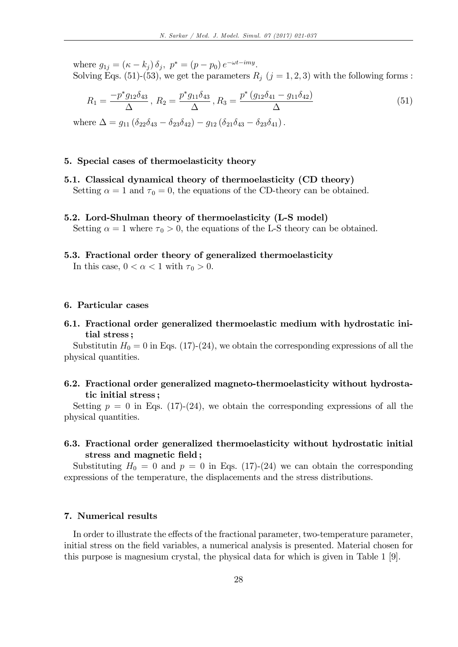where  $g_{1j} = (\kappa - k_j) \delta_j$ ,  $p^* = (p - p_0) e^{-\omega t - i m y}$ . Solving Eqs. (51)-(53), we get the parameters  $R_j$  ( $j = 1, 2, 3$ ) with the following forms :

$$
R_1 = \frac{-p^* g_{12} \delta_{43}}{\Delta}, \ R_2 = \frac{p^* g_{11} \delta_{43}}{\Delta}, \ R_3 = \frac{p^* (g_{12} \delta_{41} - g_{11} \delta_{42})}{\Delta} \tag{51}
$$

where  $\Delta = g_{11} (\delta_{22}\delta_{43} - \delta_{23}\delta_{42}) - g_{12} (\delta_{21}\delta_{43} - \delta_{23}\delta_{41}).$ 

## 5. Special cases of thermoelasticity theory

- 5.1. Classical dynamical theory of thermoelasticity (CD theory) Setting  $\alpha = 1$  and  $\tau_0 = 0$ , the equations of the CD-theory can be obtained.
- 5.2. Lord-Shulman theory of thermoelasticity (L-S model) Setting  $\alpha = 1$  where  $\tau_0 > 0$ , the equations of the L-S theory can be obtained.
- 5.3. Fractional order theory of generalized thermoelasticity In this case,  $0 < \alpha < 1$  with  $\tau_0 > 0$ .

#### 6. Particular cases

6.1. Fractional order generalized thermoelastic medium with hydrostatic initial stress ;

Substitutin  $H_0 = 0$  in Eqs. (17)-(24), we obtain the corresponding expressions of all the physical quantities.

# 6.2. Fractional order generalized magneto-thermoelasticity without hydrostatic initial stress ;

Setting  $p = 0$  in Eqs. (17)-(24), we obtain the corresponding expressions of all the physical quantities.

6.3. Fractional order generalized thermoelasticity without hydrostatic initial stress and magnetic field;

Substituting  $H_0 = 0$  and  $p = 0$  in Eqs. (17)-(24) we can obtain the corresponding expressions of the temperature, the displacements and the stress distributions.

# 7. Numerical results

In order to illustrate the effects of the fractional parameter, two-temperature parameter, initial stress on the field variables, a numerical analysis is presented. Material chosen for this purpose is magnesium crystal, the physical data for which is given in Table 1 [9].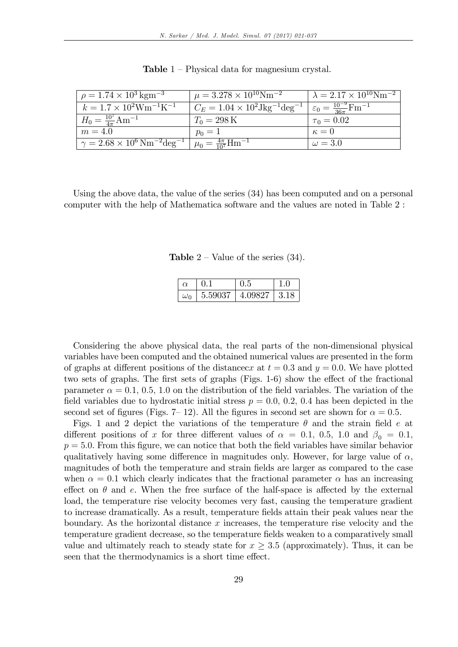| $\mu = 1.74 \times 10^3 \,\mathrm{kg m^{-3}}$                | $\mu = 3.278 \times 10^{10} \text{Nm}^{-2}$                                                                     | $\lambda = 2.17 \times 10^{10} \text{Nm}^{-2}$ |
|--------------------------------------------------------------|-----------------------------------------------------------------------------------------------------------------|------------------------------------------------|
| $k = 1.7 \times 10^{2} \text{W} \text{m}^{-1} \text{K}^{-1}$ | $C_E = 1.04 \times 10^2 \text{Jkg}^{-1} \text{deg}^{-1}$ $\varepsilon_0 = \frac{10^{-9}}{36\pi} \text{Fm}^{-1}$ |                                                |
| $H_0 = \frac{10^7}{4\pi} \text{Am}^{-1}$                     | $T_0 = 298 \,\mathrm{K}$                                                                                        | $\tau_0 = 0.02$                                |
| $m=4.0$                                                      | $p_0 = 1$                                                                                                       | $\kappa=0$                                     |
| $\gamma = 2.68 \times 10^6 \,\rm{Nm}^{-2} \rm{deg}^{-1}$     | $\mu_0 = \frac{4\pi}{10^7}$ Hm <sup>-1</sup>                                                                    | $\omega = 3.0$                                 |

**Table**  $1$  – Physical data for magnesium crystal.

Using the above data, the value of the series (34) has been computed and on a personal computer with the help of Mathematica software and the values are noted in Table 2 :

**Table**  $2$  – Value of the series (34).

|              |         | 1.อ     |     |
|--------------|---------|---------|-----|
| $\omega_{0}$ | 5.59037 | 4.09827 | 318 |

Considering the above physical data, the real parts of the non-dimensional physical variables have been computed and the obtained numerical values are presented in the form of graphs at different positions of the distancecx at  $t = 0.3$  and  $y = 0.0$ . We have plotted two sets of graphs. The first sets of graphs (Figs.  $1-6$ ) show the effect of the fractional parameter  $\alpha = 0.1, 0.5, 1.0$  on the distribution of the field variables. The variation of the field variables due to hydrostatic initial stress  $p = 0.0, 0.2, 0.4$  has been depicted in the second set of figures (Figs. 7–12). All the figures in second set are shown for  $\alpha = 0.5$ .

Figs. 1 and 2 depict the variations of the temperature  $\theta$  and the strain field e at different positions of x for three different values of  $\alpha = 0.1, 0.5, 1.0$  and  $\beta_0 = 0.1$ ,  $p = 5.0$ . From this figure, we can notice that both the field variables have similar behavior qualitatively having some difference in magnitudes only. However, for large value of  $\alpha$ , magnitudes of both the temperature and strain Öelds are larger as compared to the case when  $\alpha = 0.1$  which clearly indicates that the fractional parameter  $\alpha$  has an increasing effect on  $\theta$  and e. When the free surface of the half-space is affected by the external load, the temperature rise velocity becomes very fast, causing the temperature gradient to increase dramatically. As a result, temperature fields attain their peak values near the boundary. As the horizontal distance  $x$  increases, the temperature rise velocity and the temperature gradient decrease, so the temperature Öelds weaken to a comparatively small value and ultimately reach to steady state for  $x > 3.5$  (approximately). Thus, it can be seen that the thermodynamics is a short time effect.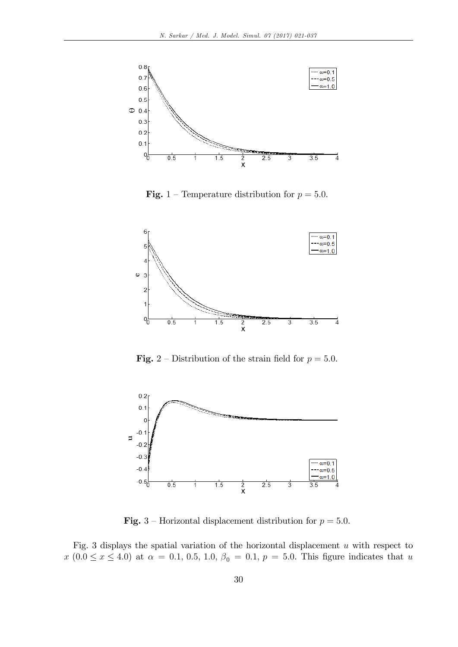

**Fig.** 1 – Temperature distribution for  $p = 5.0$ .



**Fig.** 2 – Distribution of the strain field for  $p = 5.0$ .



**Fig.** 3 – Horizontal displacement distribution for  $p = 5.0$ .

Fig. 3 displays the spatial variation of the horizontal displacement  $u$  with respect to  $x(0.0 \le x \le 4.0)$  at  $\alpha = 0.1, 0.5, 1.0, \beta_0 = 0.1, p = 5.0$ . This figure indicates that u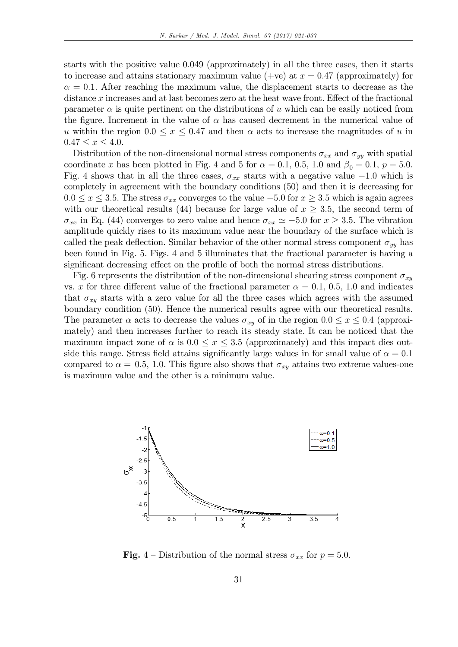starts with the positive value 0:049 (approximately) in all the three cases, then it starts to increase and attains stationary maximum value (+ve) at  $x = 0.47$  (approximately) for  $\alpha = 0.1$ . After reaching the maximum value, the displacement starts to decrease as the distance  $x$  increases and at last becomes zero at the heat wave front. Effect of the fractional parameter  $\alpha$  is quite pertinent on the distributions of u which can be easily noticed from the figure. Increment in the value of  $\alpha$  has caused decrement in the numerical value of u within the region  $0.0 \le x \le 0.47$  and then  $\alpha$  acts to increase the magnitudes of u in  $0.47 \le x \le 4.0$ .

Distribution of the non-dimensional normal stress components  $\sigma_{xx}$  and  $\sigma_{yy}$  with spatial coordinate x has been plotted in Fig. 4 and 5 for  $\alpha = 0.1, 0.5, 1.0$  and  $\beta_0 = 0.1, p = 5.0$ . Fig. 4 shows that in all the three cases,  $\sigma_{xx}$  starts with a negative value -1.0 which is completely in agreement with the boundary conditions (50) and then it is decreasing for  $0.0 \le x \le 3.5$ . The stress  $\sigma_{xx}$  converges to the value  $-5.0$  for  $x \ge 3.5$  which is again agrees with our theoretical results (44) because for large value of  $x \geq 3.5$ , the second term of  $\sigma_{xx}$  in Eq. (44) converges to zero value and hence  $\sigma_{xx} \simeq -5.0$  for  $x \geq 3.5$ . The vibration amplitude quickly rises to its maximum value near the boundary of the surface which is called the peak deflection. Similar behavior of the other normal stress component  $\sigma_{yy}$  has been found in Fig. 5. Figs. 4 and 5 illuminates that the fractional parameter is having a significant decreasing effect on the profile of both the normal stress distributions.

Fig. 6 represents the distribution of the non-dimensional shearing stress component  $\sigma_{xy}$ vs. x for three different value of the fractional parameter  $\alpha = 0.1, 0.5, 1.0$  and indicates that  $\sigma_{xy}$  starts with a zero value for all the three cases which agrees with the assumed boundary condition (50). Hence the numerical results agree with our theoretical results. The parameter  $\alpha$  acts to decrease the values  $\sigma_{xy}$  of in the region  $0.0 \le x \le 0.4$  (approximately) and then increases further to reach its steady state. It can be noticed that the maximum impact zone of  $\alpha$  is  $0.0 \le x \le 3.5$  (approximately) and this impact dies outside this range. Stress field attains significantly large values in for small value of  $\alpha = 0.1$ compared to  $\alpha = 0.5$ , 1.0. This figure also shows that  $\sigma_{xy}$  attains two extreme values-one is maximum value and the other is a minimum value.



**Fig.** 4 – Distribution of the normal stress  $\sigma_{xx}$  for  $p = 5.0$ .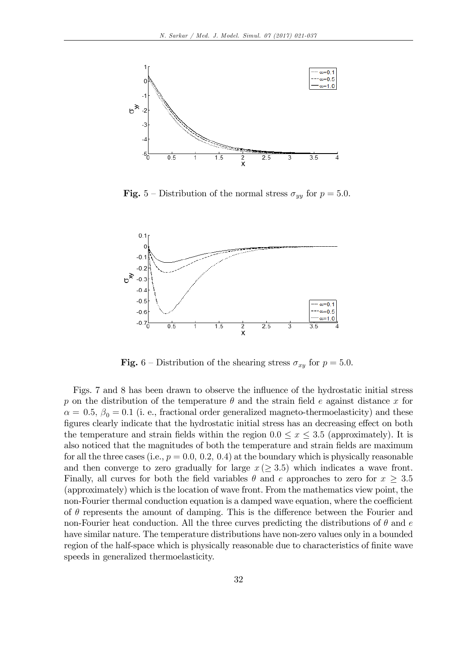

**Fig.** 5 – Distribution of the normal stress  $\sigma_{yy}$  for  $p = 5.0$ .



**Fig.** 6 – Distribution of the shearing stress  $\sigma_{xy}$  for  $p = 5.0$ .

Figs. 7 and 8 has been drawn to observe the influence of the hydrostatic initial stress p on the distribution of the temperature  $\theta$  and the strain field e against distance x for  $\alpha = 0.5, \beta_0 = 0.1$  (i. e., fractional order generalized magneto-thermoelasticity) and these figures clearly indicate that the hydrostatic initial stress has an decreasing effect on both the temperature and strain fields within the region  $0.0 \leq x \leq 3.5$  (approximately). It is also noticed that the magnitudes of both the temperature and strain Öelds are maximum for all the three cases (i.e.,  $p = 0.0$ , 0.2, 0.4) at the boundary which is physically reasonable and then converge to zero gradually for large  $x \geq 3.5$ ) which indicates a wave front. Finally, all curves for both the field variables  $\theta$  and e approaches to zero for  $x \geq 3.5$ (approximately) which is the location of wave front. From the mathematics view point, the non-Fourier thermal conduction equation is a damped wave equation, where the coefficient of  $\theta$  represents the amount of damping. This is the difference between the Fourier and non-Fourier heat conduction. All the three curves predicting the distributions of  $\theta$  and  $e$ have similar nature. The temperature distributions have non-zero values only in a bounded region of the half-space which is physically reasonable due to characteristics of finite wave speeds in generalized thermoelasticity.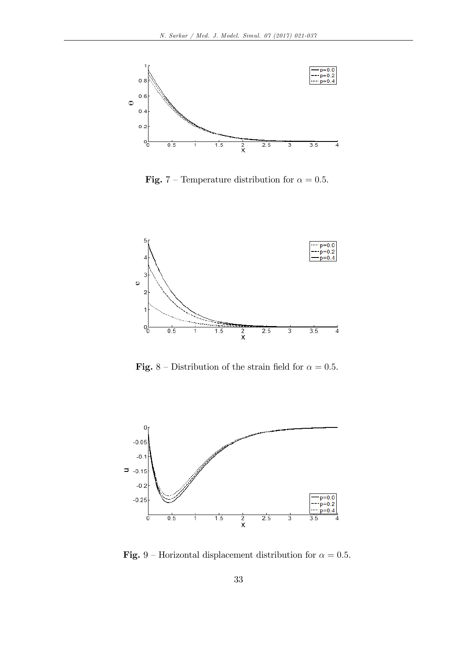

**Fig.** 7 – Temperature distribution for  $\alpha = 0.5$ .



Fig. 8 – Distribution of the strain field for  $\alpha = 0.5$ .



Fig. 9 – Horizontal displacement distribution for  $\alpha = 0.5$ .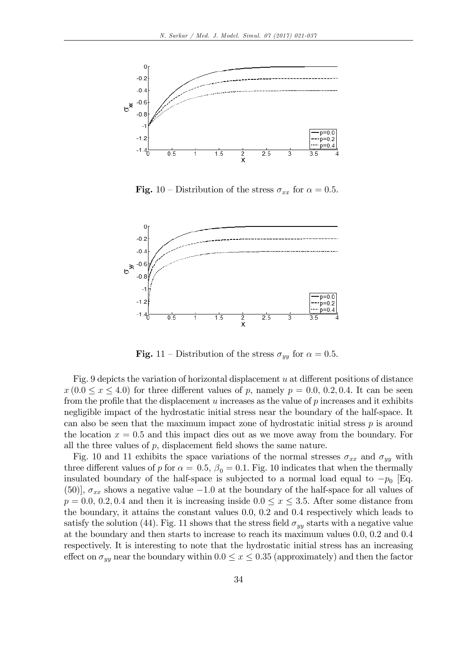

**Fig.** 10 – Distribution of the stress  $\sigma_{xx}$  for  $\alpha = 0.5$ .



**Fig.** 11 – Distribution of the stress  $\sigma_{yy}$  for  $\alpha = 0.5$ .

Fig. 9 depicts the variation of horizontal displacement  $u$  at different positions of distance  $x(0.0 \le x \le 4.0)$  for three different values of p, namely  $p = 0.0, 0.2, 0.4$ . It can be seen from the profile that the displacement  $u$  increases as the value of  $p$  increases and it exhibits negligible impact of the hydrostatic initial stress near the boundary of the half-space. It can also be seen that the maximum impact zone of hydrostatic initial stress  $p$  is around the location  $x = 0.5$  and this impact dies out as we move away from the boundary. For all the three values of  $p$ , displacement field shows the same nature.

Fig. 10 and 11 exhibits the space variations of the normal stresses  $\sigma_{xx}$  and  $\sigma_{yy}$  with three different values of p for  $\alpha = 0.5$ ,  $\beta_0 = 0.1$ . Fig. 10 indicates that when the thermally insulated boundary of the half-space is subjected to a normal load equal to  $-p_0$  [Eq. (50)],  $\sigma_{xx}$  shows a negative value  $-1.0$  at the boundary of the half-space for all values of  $p = 0.0, 0.2, 0.4$  and then it is increasing inside  $0.0 \le x \le 3.5$ . After some distance from the boundary, it attains the constant values 0.0, 0.2 and 0.4 respectively which leads to satisfy the solution (44). Fig. 11 shows that the stress field  $\sigma_{yy}$  starts with a negative value at the boundary and then starts to increase to reach its maximum values 0.0, 0.2 and 0.4 respectively. It is interesting to note that the hydrostatic initial stress has an increasing effect on  $\sigma_{yy}$  near the boundary within  $0.0 \le x \le 0.35$  (approximately) and then the factor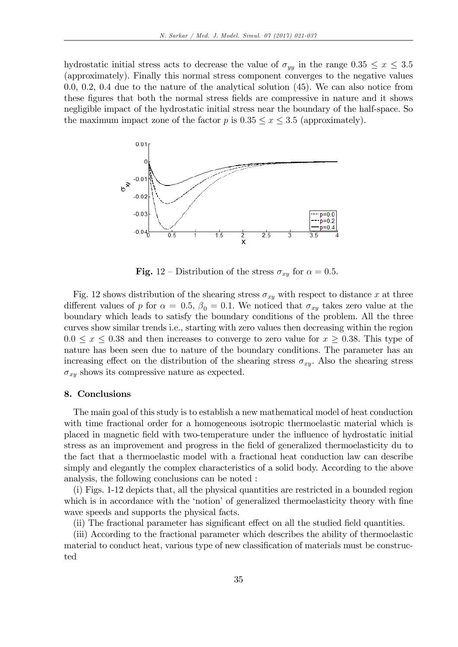hydrostatic initial stress acts to decrease the value of  $\sigma_{yy}$  in the range  $0.35 \leq x \leq 3.5$ (approximately). Finally this normal stress component converges to the negative values 0.0, 0.2, 0.4 due to the nature of the analytical solution (45). We can also notice from these figures that both the normal stress fields are compressive in nature and it shows negligible impact of the hydrostatic initial stress near the boundary of the half-space. So the maximum impact zone of the factor p is  $0.35 \le x \le 3.5$  (approximately).



**Fig.** 12 – Distribution of the stress  $\sigma_{xy}$  for  $\alpha = 0.5$ .

Fig. 12 shows distribution of the shearing stress  $\sigma_{xy}$  with respect to distance x at three different values of p for  $\alpha = 0.5$ ,  $\beta_0 = 0.1$ . We noticed that  $\sigma_{xy}$  takes zero value at the boundary which leads to satisfy the boundary conditions of the problem. All the three curves show similar trends i.e., starting with zero values then decreasing within the region  $0.0 \le x \le 0.38$  and then increases to converge to zero value for  $x \ge 0.38$ . This type of nature has been seen due to nature of the boundary conditions. The parameter has an increasing effect on the distribution of the shearing stress  $\sigma_{xy}$ . Also the shearing stress  $\sigma_{xy}$  shows its compressive nature as expected.

### 8. Conclusions

The main goal of this study is to establish a new mathematical model of heat conduction with time fractional order for a homogeneous isotropic thermoelastic material which is placed in magnetic field with two-temperature under the influence of hydrostatic initial stress as an improvement and progress in the field of generalized thermoelasticity du to the fact that a thermoelastic model with a fractional heat conduction law can describe simply and elegantly the complex characteristics of a solid body. According to the above analysis, the following conclusions can be noted :

(i) Figs. 1-12 depicts that, all the physical quantities are restricted in a bounded region which is in accordance with the 'notion' of generalized thermoelasticity theory with fine wave speeds and supports the physical facts.

(ii) The fractional parameter has significant effect on all the studied field quantities.

(iii) According to the fractional parameter which describes the ability of thermoelastic material to conduct heat, various type of new classification of materials must be constructed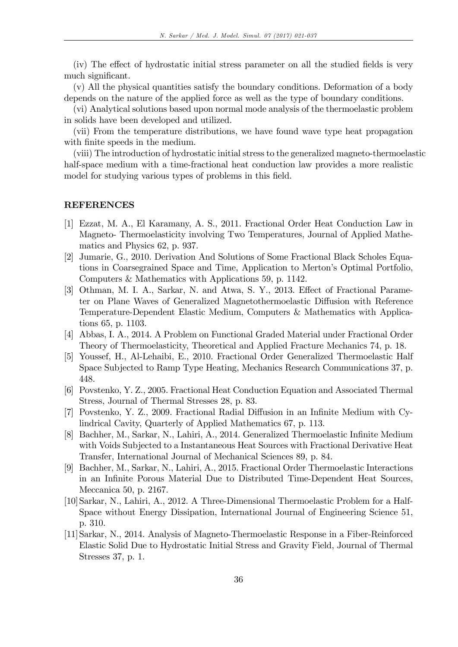(iv) The effect of hydrostatic initial stress parameter on all the studied fields is very much significant.

(v) All the physical quantities satisfy the boundary conditions. Deformation of a body depends on the nature of the applied force as well as the type of boundary conditions.

(vi) Analytical solutions based upon normal mode analysis of the thermoelastic problem in solids have been developed and utilized.

(vii) From the temperature distributions, we have found wave type heat propagation with finite speeds in the medium.

(viii) The introduction of hydrostatic initial stress to the generalized magneto-thermoelastic half-space medium with a time-fractional heat conduction law provides a more realistic model for studying various types of problems in this field.

#### REFERENCES

- [1] Ezzat, M. A., El Karamany, A. S., 2011. Fractional Order Heat Conduction Law in Magneto- Thermoelasticity involving Two Temperatures, Journal of Applied Mathematics and Physics 62, p. 937.
- [2] Jumarie, G., 2010. Derivation And Solutions of Some Fractional Black Scholes Equations in Coarsegrained Space and Time, Application to Mertonís Optimal Portfolio, Computers & Mathematics with Applications 59, p. 1142.
- [3] Othman, M. I. A., Sarkar, N. and Atwa, S. Y., 2013. Effect of Fractional Parameter on Plane Waves of Generalized Magnetothermoelastic Diffusion with Reference Temperature-Dependent Elastic Medium, Computers & Mathematics with Applications 65, p. 1103.
- [4] Abbas, I. A., 2014. A Problem on Functional Graded Material under Fractional Order Theory of Thermoelasticity, Theoretical and Applied Fracture Mechanics 74, p. 18.
- [5] Youssef, H., Al-Lehaibi, E., 2010. Fractional Order Generalized Thermoelastic Half Space Subjected to Ramp Type Heating, Mechanics Research Communications 37, p. 448.
- [6] Povstenko, Y. Z., 2005. Fractional Heat Conduction Equation and Associated Thermal Stress, Journal of Thermal Stresses 28, p. 83.
- [7] Povstenko, Y. Z., 2009. Fractional Radial Diffusion in an Infinite Medium with Cylindrical Cavity, Quarterly of Applied Mathematics 67, p. 113.
- [8] Bachher, M., Sarkar, N., Lahiri, A., 2014. Generalized Thermoelastic Infinite Medium with Voids Subjected to a Instantaneous Heat Sources with Fractional Derivative Heat Transfer, International Journal of Mechanical Sciences 89, p. 84.
- [9] Bachher, M., Sarkar, N., Lahiri, A., 2015. Fractional Order Thermoelastic Interactions in an InÖnite Porous Material Due to Distributed Time-Dependent Heat Sources, Meccanica 50, p. 2167.
- [10]Sarkar, N., Lahiri, A., 2012. A Three-Dimensional Thermoelastic Problem for a Half-Space without Energy Dissipation, International Journal of Engineering Science 51, p. 310.
- [11]Sarkar, N., 2014. Analysis of Magneto-Thermoelastic Response in a Fiber-Reinforced Elastic Solid Due to Hydrostatic Initial Stress and Gravity Field, Journal of Thermal Stresses 37, p. 1.